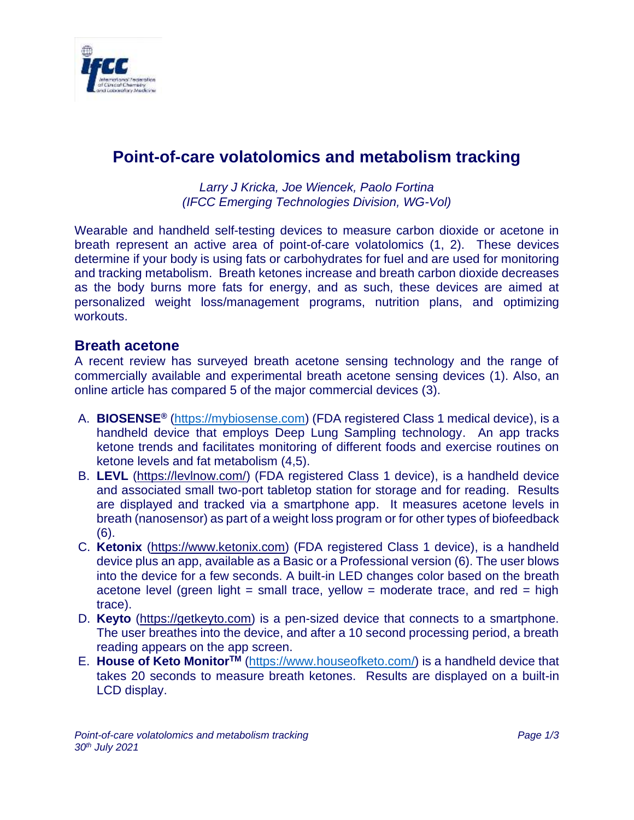

## **Point-of-care volatolomics and metabolism tracking**

*Larry J Kricka, Joe Wiencek, Paolo Fortina (IFCC Emerging Technologies Division, WG-Vol)*

Wearable and handheld self-testing devices to measure carbon dioxide or acetone in breath represent an active area of point-of-care volatolomics (1, 2). These devices determine if your body is using fats or carbohydrates for fuel and are used for monitoring and tracking metabolism. Breath ketones increase and breath carbon dioxide decreases as the body burns more fats for energy, and as such, these devices are aimed at personalized weight loss/management programs, nutrition plans, and optimizing workouts.

## **Breath acetone**

A recent review has surveyed breath acetone sensing technology and the range of commercially available and experimental breath acetone sensing devices (1). Also, an online article has compared 5 of the major commercial devices (3).

- A. **BIOSENSE®** [\(https://mybiosense.com\)](https://mybiosense.com/) (FDA registered Class 1 medical device), is a handheld device that employs Deep Lung Sampling technology. An app tracks ketone trends and facilitates monitoring of different foods and exercise routines on ketone levels and fat metabolism (4,5).
- B. **LEVL** [\(https://levlnow.com/\)](https://levlnow.com/) (FDA registered Class 1 device), is a handheld device and associated small two-port tabletop station for storage and for reading. Results are displayed and tracked via a smartphone app. It measures acetone levels in breath (nanosensor) as part of a weight loss program or for other types of biofeedback (6).
- C. **Ketonix** [\(https://www.ketonix.com\)](https://www.ketonix.com/) (FDA registered Class 1 device), is a handheld device plus an app, available as a Basic or a Professional version (6). The user blows into the device for a few seconds. A built-in LED changes color based on the breath acetone level (green light = small trace, yellow = moderate trace, and red = high trace).
- D. **Keyto** [\(https://getkeyto.com\)](https://getkeyto.com/) is a pen-sized device that connects to a smartphone. The user breathes into the device, and after a 10 second processing period, a breath reading appears on the app screen.
- E. **House of Keto MonitorTM** [\(https://www.houseofketo.com/\)](https://www.houseofketo.com/) is a handheld device that takes 20 seconds to measure breath ketones. Results are displayed on a built-in LCD display.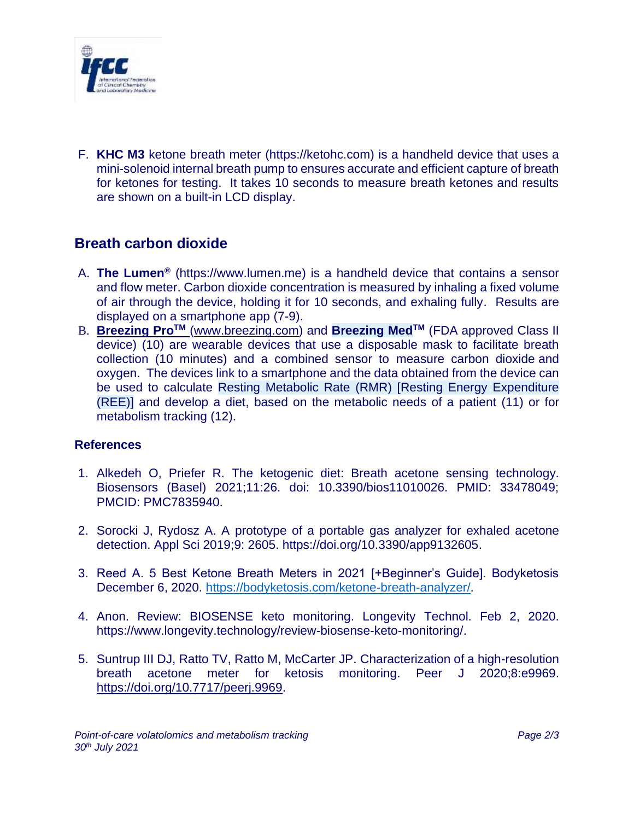

F. **KHC M3** ketone breath meter (https://ketohc.com) is a handheld device that uses a mini-solenoid internal breath pump to ensures accurate and efficient capture of breath for ketones for testing. It takes 10 seconds to measure breath ketones and results are shown on a built-in LCD display.

## **Breath carbon dioxide**

- A. **The Lumen®** (https://www.lumen.me) is a handheld device that contains a sensor and flow meter. Carbon dioxide concentration is measured by inhaling a fixed volume of air through the device, holding it for 10 seconds, and exhaling fully. Results are displayed on a smartphone app (7-9).
- B. **Breezing ProTM** [\(www.breezing.com\)](http://www.breezing.com/) and **Breezing MedTM** (FDA approved Class II device) (10) are wearable devices that use a disposable mask to facilitate breath collection (10 minutes) and a combined sensor to measure carbon dioxide and oxygen. The devices link to a smartphone and the data obtained from the device can be used to calculate Resting Metabolic Rate (RMR) [Resting Energy Expenditure (REE)] and develop a diet, based on the metabolic needs of a patient (11) or for metabolism tracking (12).

## **References**

- 1. Alkedeh O, Priefer R. The ketogenic diet: Breath acetone sensing technology. Biosensors (Basel) 2021;11:26. doi: 10.3390/bios11010026. PMID: 33478049; PMCID: PMC7835940.
- 2. Sorocki J, Rydosz A. A prototype of a portable gas analyzer for exhaled acetone detection. Appl Sci 2019;9: 2605. https://doi.org/10.3390/app9132605.
- 3. Reed A. 5 Best Ketone Breath Meters in 2021 [+Beginner's Guide]. Bodyketosis December 6, 2020. [https://bodyketosis.com/ketone-breath-analyzer/.](https://bodyketosis.com/ketone-breath-analyzer/)
- 4. Anon. Review: BIOSENSE keto monitoring. Longevity Technol. Feb 2, 2020. https://www.longevity.technology/review-biosense-keto-monitoring/.
- 5. Suntrup III DJ, Ratto TV, Ratto M, McCarter JP. Characterization of a high-resolution breath acetone meter for ketosis monitoring. Peer J 2020;8:e9969. [https://doi.org/10.7717/peerj.9969.](https://doi.org/10.7717/peerj.9969)